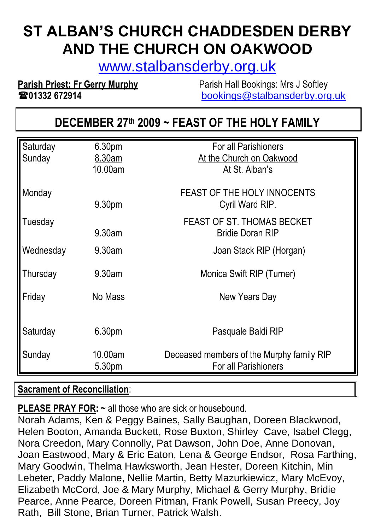# **ST ALBAN'S CHURCH CHADDESDEN DERBY AND THE CHURCH ON OAKWOOD**

[www.stalbansderby.org.uk](http://www.stalbansderby.org.uk/)

**Parish Priest: Fr Gerry Murphy** Parish Hall Bookings: Mrs J Softley

**01332 672914** [bookings@stalbansderby.org.uk](mailto:bookings@stalbansderby.org.uk)

## **DECEMBER 27th 2009 ~ FEAST OF THE HOLY FAMILY**

| Saturday<br>Sunday | 6.30pm<br>8.30am<br>10.00am | For all Parishioners<br>At the Church on Oakwood<br>At St. Alban's |
|--------------------|-----------------------------|--------------------------------------------------------------------|
| Monday             | 9.30pm                      | <b>FEAST OF THE HOLY INNOCENTS</b><br>Cyril Ward RIP.              |
| Tuesday            | 9.30am                      | FEAST OF ST. THOMAS BECKET<br><b>Bridie Doran RIP</b>              |
| Wednesday          | 9.30am                      | Joan Stack RIP (Horgan)                                            |
| Thursday           | 9.30am                      | Monica Swift RIP (Turner)                                          |
| Friday             | No Mass                     | New Years Day                                                      |
| Saturday           | 6.30pm                      | Pasquale Baldi RIP                                                 |
| Sunday             | 10.00am<br>5.30pm           | Deceased members of the Murphy family RIP<br>For all Parishioners  |

#### **Sacrament of Reconciliation**:

**PLEASE PRAY FOR:**  $\sim$  **all those who are sick or housebound.** 

Norah Adams, Ken & Peggy Baines, Sally Baughan, Doreen Blackwood, Helen Booton, Amanda Buckett, Rose Buxton, Shirley Cave, Isabel Clegg, Nora Creedon, Mary Connolly, Pat Dawson, John Doe, Anne Donovan, Joan Eastwood, Mary & Eric Eaton, Lena & George Endsor, Rosa Farthing, Mary Goodwin, Thelma Hawksworth, Jean Hester, Doreen Kitchin, Min Lebeter, Paddy Malone, Nellie Martin, Betty Mazurkiewicz, Mary McEvoy, Elizabeth McCord, Joe & Mary Murphy, Michael & Gerry Murphy, Bridie Pearce, Anne Pearce, Doreen Pitman, Frank Powell, Susan Preecy, Joy Rath, Bill Stone, Brian Turner, Patrick Walsh.